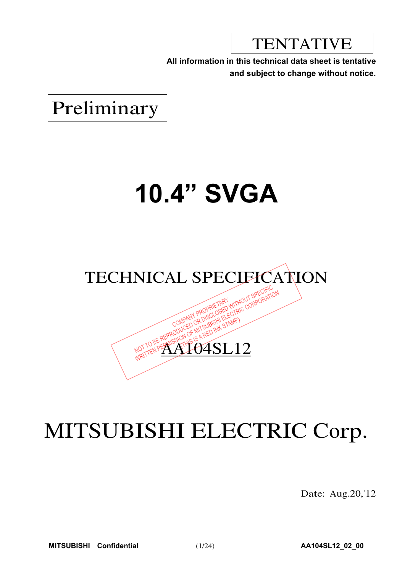TENTATIVE

**All information in this technical data sheet is tentative and subject to change without notice.**

Preliminary

# **10.4" SVGA**



04SL12

## MITSUBISHI ELECTRIC Corp.

Date: Aug.20,'12

**MITSUBISHI Confidential** (1/24) **AA104SL12\_02\_00**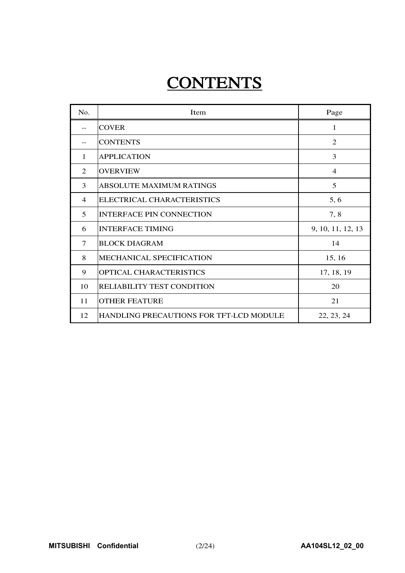## **CONTENTS**

| N <sub>0</sub>    | Item                                    | Page              |
|-------------------|-----------------------------------------|-------------------|
| $\qquad \qquad -$ | <b>COVER</b>                            | 1                 |
|                   | <b>CONTENTS</b>                         | $\mathfrak{D}$    |
| 1                 | <b>APPLICATION</b>                      | 3                 |
| 2                 | <b>OVERVIEW</b>                         | 4                 |
| 3                 | <b>ABSOLUTE MAXIMUM RATINGS</b>         | 5                 |
| $\overline{4}$    | ELECTRICAL CHARACTERISTICS              | 5, 6              |
| 5                 | <b>INTERFACE PIN CONNECTION</b>         | 7,8               |
| 6                 | <b>INTERFACE TIMING</b>                 | 9, 10, 11, 12, 13 |
| $\tau$            | <b>BLOCK DIAGRAM</b>                    | 14                |
| 8                 | MECHANICAL SPECIFICATION                | 15, 16            |
| 9                 | OPTICAL CHARACTERISTICS                 | 17, 18, 19        |
| 10                | RELIABILITY TEST CONDITION              | 20                |
| 11                | <b>OTHER FEATURE</b>                    | 21                |
| 12                | HANDLING PRECAUTIONS FOR TFT-LCD MODULE | 22, 23, 24        |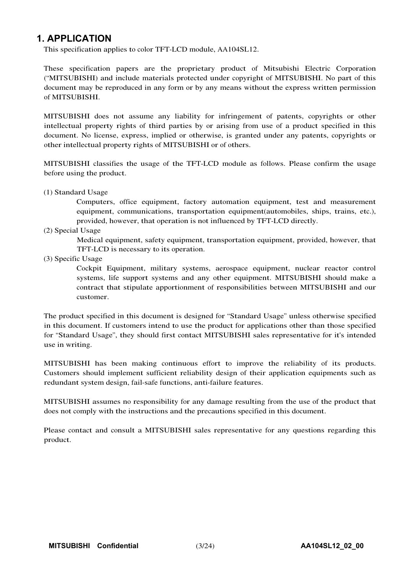### **1. APPLICATION**

This specification applies to color TFT-LCD module, AA104SL12.

These specification papers are the proprietary product of Mitsubishi Electric Corporation ("MITSUBISHI) and include materials protected under copyright of MITSUBISHI. No part of this document may be reproduced in any form or by any means without the express written permission of MITSUBISHI.

MITSUBISHI does not assume any liability for infringement of patents, copyrights or other intellectual property rights of third parties by or arising from use of a product specified in this document. No license, express, implied or otherwise, is granted under any patents, copyrights or other intellectual property rights of MITSUBISHI or of others.

MITSUBISHI classifies the usage of the TFT-LCD module as follows. Please confirm the usage before using the product.

(1) Standard Usage

Computers, office equipment, factory automation equipment, test and measurement equipment, communications, transportation equipment(automobiles, ships, trains, etc.), provided, however, that operation is not influenced by TFT-LCD directly.

(2) Special Usage

Medical equipment, safety equipment, transportation equipment, provided, however, that TFT-LCD is necessary to its operation.

(3) Specific Usage

Cockpit Equipment, military systems, aerospace equipment, nuclear reactor control systems, life support systems and any other equipment. MITSUBISHI should make a contract that stipulate apportionment of responsibilities between MITSUBISHI and our customer.

The product specified in this document is designed for "Standard Usage" unless otherwise specified in this document. If customers intend to use the product for applications other than those specified for "Standard Usage", they should first contact MITSUBISHI sales representative for it's intended use in writing.

MITSUBISHI has been making continuous effort to improve the reliability of its products. Customers should implement sufficient reliability design of their application equipments such as redundant system design, fail-safe functions, anti-failure features.

MITSUBISHI assumes no responsibility for any damage resulting from the use of the product that does not comply with the instructions and the precautions specified in this document.

Please contact and consult a MITSUBISHI sales representative for any questions regarding this product.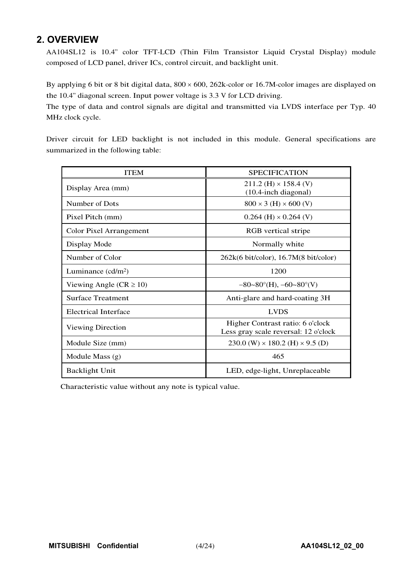## **2. OVERVIEW**

AA104SL12 is 10.4" color TFT-LCD (Thin Film Transistor Liquid Crystal Display) module composed of LCD panel, driver ICs, control circuit, and backlight unit.

By applying 6 bit or 8 bit digital data,  $800 \times 600$ ,  $262$ k-color or 16.7M-color images are displayed on the 10.4" diagonal screen. Input power voltage is 3.3 V for LCD driving.

The type of data and control signals are digital and transmitted via LVDS interface per Typ. 40 MHz clock cycle.

Driver circuit for LED backlight is not included in this module. General specifications are summarized in the following table:

| <b>ITEM</b>                    | <b>SPECIFICATION</b>                                                     |
|--------------------------------|--------------------------------------------------------------------------|
| Display Area (mm)              | $211.2$ (H) $\times$ 158.4 (V)<br>$(10.4$ -inch diagonal)                |
| Number of Dots                 | $800 \times 3$ (H) $\times 600$ (V)                                      |
| Pixel Pitch (mm)               | $0.264$ (H) $\times$ 0.264 (V)                                           |
| <b>Color Pixel Arrangement</b> | RGB vertical stripe                                                      |
| Display Mode                   | Normally white                                                           |
| Number of Color                | $262k(6 \text{ bit/color})$ , 16.7M $(8 \text{ bit/color})$              |
| Luminance $(cd/m2)$            | 1200                                                                     |
| Viewing Angle ( $CR \ge 10$ )  | $-80-80^{\circ}$ (H), $-60-80^{\circ}$ (V)                               |
| <b>Surface Treatment</b>       | Anti-glare and hard-coating 3H                                           |
| Electrical Interface           | <b>LVDS</b>                                                              |
| Viewing Direction              | Higher Contrast ratio: 6 o'clock<br>Less gray scale reversal: 12 o'clock |
| Module Size (mm)               | 230.0 (W) $\times$ 180.2 (H) $\times$ 9.5 (D)                            |
| Module Mass (g)                | 465                                                                      |
| <b>Backlight Unit</b>          | LED, edge-light, Unreplaceable                                           |

Characteristic value without any note is typical value.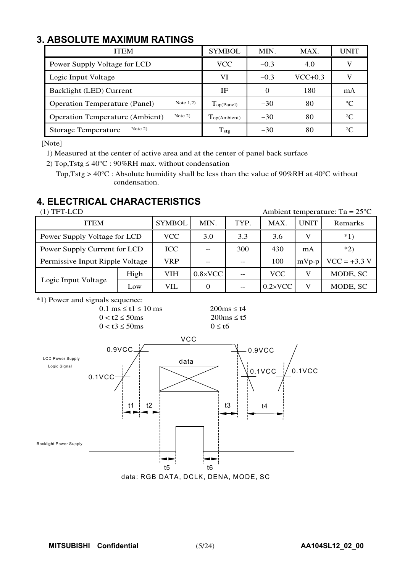## **3. ABSOLUTE MAXIMUM RATINGS**

| <b>ITEM</b>                                         | <b>SYMBOL</b>               | MIN.     | MAX.      | UNIT        |
|-----------------------------------------------------|-----------------------------|----------|-----------|-------------|
| Power Supply Voltage for LCD                        | VCC                         | $-0.3$   | 4.0       |             |
| Logic Input Voltage                                 | VI                          | $-0.3$   | $VCC+0.3$ |             |
| Backlight (LED) Current                             | IF                          | $\Omega$ | 180       | mA          |
| Note $1,2)$<br><b>Operation Temperature (Panel)</b> | $\Gamma_{\text{op(Panel)}}$ | $-30$    | 80        | $^{\circ}C$ |
| Note $2)$<br><b>Operation Temperature (Ambient)</b> | Top(Ambient)                | $-30$    | 80        | $^{\circ}C$ |
| Note $2)$<br><b>Storage Temperature</b>             | $T_{\text{stg}}$            | $-30$    | 80        | $\circ$     |

[Note]

1) Measured at the center of active area and at the center of panel back surface

2) Top, Tstg  $\leq 40^{\circ}$ C : 90%RH max. without condensation

Top, Tstg >  $40^{\circ}$ C : Absolute humidity shall be less than the value of 90%RH at 40 $^{\circ}$ C without condensation.

## **4. ELECTRICAL CHARACTERISTICS**

| $(1)$ TFT-LCD                   |      |               |                   |      | Ambient temperature: Ta = $25^{\circ}$ C |             |                |  |  |  |  |  |
|---------------------------------|------|---------------|-------------------|------|------------------------------------------|-------------|----------------|--|--|--|--|--|
| <b>ITEM</b>                     |      | <b>SYMBOL</b> | MIN.              | TYP. | MAX.                                     | <b>UNIT</b> | Remarks        |  |  |  |  |  |
| Power Supply Voltage for LCD    |      | VCC           | 3.3<br>3.6<br>3.0 |      |                                          |             | $*1)$          |  |  |  |  |  |
| Power Supply Current for LCD    |      | ICC           | 300<br>430<br>mA  |      |                                          |             | $*2)$          |  |  |  |  |  |
| Permissive Input Ripple Voltage |      | <b>VRP</b>    | 100<br>$mVp-p$    |      |                                          |             | $VCC = +3.3 V$ |  |  |  |  |  |
|                                 | High | <b>VIH</b>    | $0.8 \times$ VCC  |      | <b>VCC</b>                               | V           | MODE, SC       |  |  |  |  |  |
| Logic Input Voltage             | Low  | VIL           |                   |      | $0.2 \times$ VCC                         | V           | MODE, SC       |  |  |  |  |  |

\*1) Power and signals sequence:

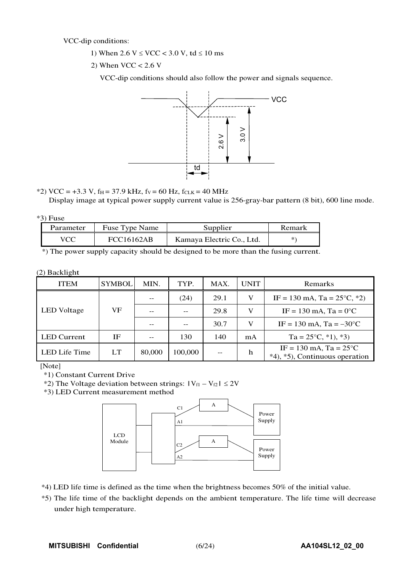VCC-dip conditions:

- 1) When  $2.6 \text{ V} \leq \text{VCC} < 3.0 \text{ V}$ , td  $\leq 10 \text{ ms}$
- 2) When  $VCC < 2.6$  V

VCC-dip conditions should also follow the power and signals sequence.



\*2) VCC = +3.3 V, f<sub>H</sub> = 37.9 kHz, f<sub>V</sub> = 60 Hz, f<sub>CLK</sub> = 40 MHz

Display image at typical power supply current value is 256-gray-bar pattern (8 bit), 600 line mode.

| v |     |
|---|-----|
|   | 'HS |

| Parameter | Fuse Type Name    | Supplier                  | Remark |
|-----------|-------------------|---------------------------|--------|
| VCC       | <b>FCC16162AB</b> | Kamaya Electric Co., Ltd. | *`     |

\*) The power supply capacity should be designed to be more than the fusing current.

#### (2) Backlight

| <b>ITEM</b>        | <b>SYMBOL</b> | MIN.   | TYP.    | MAX.                                      | <b>UNIT</b> | Remarks                                                            |  |  |  |  |  |  |
|--------------------|---------------|--------|---------|-------------------------------------------|-------------|--------------------------------------------------------------------|--|--|--|--|--|--|
|                    |               |        | (24)    | 29.1                                      | V           | IF = 130 mA, Ta = $25^{\circ}$ C, $*2$ )                           |  |  |  |  |  |  |
| <b>LED</b> Voltage | VF            |        |         | $IF = 130 \text{ mA}$ , $Ta = 0^{\circ}C$ |             |                                                                    |  |  |  |  |  |  |
|                    |               |        |         | 30.7                                      |             | IF = 130 mA, Ta = $-30^{\circ}$ C                                  |  |  |  |  |  |  |
| <b>LED</b> Current | ΙF            |        | 130     | 140                                       | mA          | $Ta = 25^{\circ}C, *1, *3$                                         |  |  |  |  |  |  |
| LED Life Time      | LT            | 80,000 | 100,000 | $-$                                       | h           | IF = 130 mA, Ta = $25^{\circ}$ C<br>*4), *5), Continuous operation |  |  |  |  |  |  |

[Note]

\*1) Constant Current Drive

\*2) The Voltage deviation between strings:  $|V_{f1} - V_{f2}| \le 2V$ 

\*3) LED Current measurement method



\*4) LED life time is defined as the time when the brightness becomes 50% of the initial value.

\*5) The life time of the backlight depends on the ambient temperature. The life time will decrease under high temperature.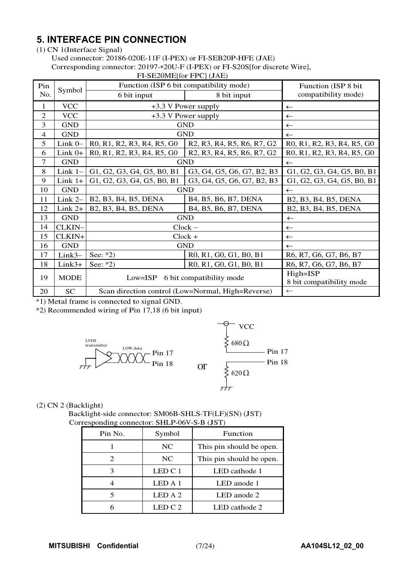## **5. INTERFACE PIN CONNECTION**

(1) CN 1(Interface Signal)

Used connector: 20186-020E-11F (I-PEX) or FI-SEB20P-HFE (JAE)

Corresponding connector: 20197- 20U-F (I-PEX) or FI-S20S[for discrete Wire],

|                |             | $\Gamma$ I-SEZUNIE JUI $\Gamma$ PU (JAE)                                                                             |                                                                                                                      |                            |  |  |  |  |  |  |  |
|----------------|-------------|----------------------------------------------------------------------------------------------------------------------|----------------------------------------------------------------------------------------------------------------------|----------------------------|--|--|--|--|--|--|--|
| Pin            | Symbol      | Function (ISP 6 bit compatibility mode)                                                                              |                                                                                                                      | Function (ISP 8 bit)       |  |  |  |  |  |  |  |
| No.            |             | 6 bit input                                                                                                          | 8 bit input                                                                                                          | compatibility mode)        |  |  |  |  |  |  |  |
| 1              | <b>VCC</b>  | +3.3 V Power supply                                                                                                  | $\leftarrow$                                                                                                         |                            |  |  |  |  |  |  |  |
| 2              | <b>VCC</b>  |                                                                                                                      | +3.3 V Power supply                                                                                                  | $\leftarrow$               |  |  |  |  |  |  |  |
| 3              | <b>GND</b>  |                                                                                                                      | <b>GND</b>                                                                                                           | $\leftarrow$               |  |  |  |  |  |  |  |
| $\overline{4}$ | <b>GND</b>  |                                                                                                                      | <b>GND</b>                                                                                                           | $\leftarrow$               |  |  |  |  |  |  |  |
| 5              | Link 0-     | R <sub>0</sub> , R <sub>1</sub> , R <sub>2</sub> , R <sub>3</sub> , R <sub>4</sub> , R <sub>5</sub> , G <sub>0</sub> | R <sub>2</sub> , R <sub>3</sub> , R <sub>4</sub> , R <sub>5</sub> , R <sub>6</sub> , R <sub>7</sub> , G <sub>2</sub> | R0, R1, R2, R3, R4, R5, G0 |  |  |  |  |  |  |  |
| 6              | Link $0+$   | R <sub>0</sub> , R <sub>1</sub> , R <sub>2</sub> , R <sub>3</sub> , R <sub>4</sub> , R <sub>5</sub> , G <sub>0</sub> | R <sub>2</sub> , R <sub>3</sub> , R <sub>4</sub> , R <sub>5</sub> , R <sub>6</sub> , R <sub>7</sub> , G <sub>2</sub> | R0, R1, R2, R3, R4, R5, G0 |  |  |  |  |  |  |  |
| 7              | <b>GND</b>  | <b>GND</b>                                                                                                           | $\leftarrow$                                                                                                         |                            |  |  |  |  |  |  |  |
| 8              | Link $1-$   | G1, G2, G3, G4, G5, B0, B1                                                                                           | G3, G4, G5, G6, G7, B2, B3                                                                                           | G1, G2, G3, G4, G5, B0, B1 |  |  |  |  |  |  |  |
| 9              | Link $1+$   | G1, G2, G3, G4, G5, B0, B1                                                                                           | G3, G4, G5, G6, G7, B2, B3                                                                                           | G1, G2, G3, G4, G5, B0, B1 |  |  |  |  |  |  |  |
| 10             | <b>GND</b>  | <b>GND</b>                                                                                                           | $\leftarrow$                                                                                                         |                            |  |  |  |  |  |  |  |
| 11             | Link 2-     | B2, B3, B4, B5, DENA                                                                                                 | B4, B5, B6, B7, DENA                                                                                                 | B2, B3, B4, B5, DENA       |  |  |  |  |  |  |  |
| 12             | Link $2+$   | B2, B3, B4, B5, DENA                                                                                                 | B4, B5, B6, B7, DENA                                                                                                 | B2, B3, B4, B5, DENA       |  |  |  |  |  |  |  |
| 13             | <b>GND</b>  |                                                                                                                      | <b>GND</b>                                                                                                           | $\leftarrow$               |  |  |  |  |  |  |  |
| 14             | CLKIN-      |                                                                                                                      | $Clock -$                                                                                                            | $\leftarrow$               |  |  |  |  |  |  |  |
| 15             | CLKIN+      |                                                                                                                      | $Clock +$                                                                                                            | $\leftarrow$               |  |  |  |  |  |  |  |
| 16             | <b>GND</b>  |                                                                                                                      | <b>GND</b>                                                                                                           | $\leftarrow$               |  |  |  |  |  |  |  |
| 17             | $Link3-$    | See: $*2)$                                                                                                           | R0, R1, G0, G1, B0, B1                                                                                               | R6, R7, G6, G7, B6, B7     |  |  |  |  |  |  |  |
| 18             | $Link3+$    | See: $*2)$                                                                                                           | R0, R1, G0, G1, B0, B1                                                                                               | R6, R7, G6, G7, B6, B7     |  |  |  |  |  |  |  |
| 19             | <b>MODE</b> | $Low = ISP$                                                                                                          | 6 bit compatibility mode                                                                                             | High=ISP                   |  |  |  |  |  |  |  |
|                |             |                                                                                                                      |                                                                                                                      | 8 bit compatibility mode   |  |  |  |  |  |  |  |
| 20             | SC          |                                                                                                                      | Scan direction control (Low=Normal, High=Reverse)                                                                    | $\leftarrow$               |  |  |  |  |  |  |  |

FI-SE20ME[for FPC] (JAE)

\*1) Metal frame is connected to signal GND.

\*2) Recommended wiring of Pin 17,18 (6 bit input)



(2) CN 2 (Backlight)

Backlight-side connector: SM06B-SHLS-TF(LF)(SN) (JST) Corresponding connector: SHLP-06V-S-B (JST)

| Pin No. | Symbol  | Function                 |
|---------|---------|--------------------------|
|         | NC      | This pin should be open. |
|         | NC      | This pin should be open. |
|         | LED C 1 | LED cathode 1            |
|         | LED A 1 | LED anode 1              |
|         | LED A 2 | LED anode 2              |
|         | LED C 2 | LED cathode 2            |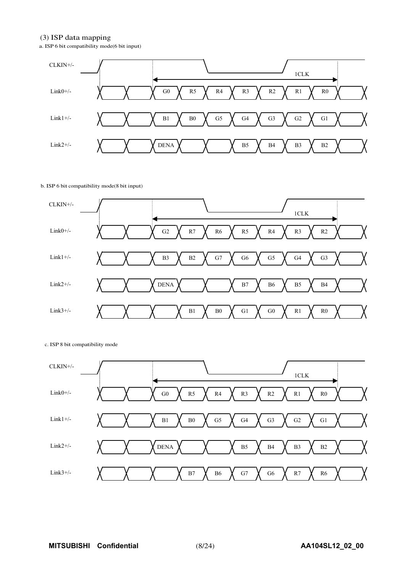#### (3) ISP data mapping

a. ISP 6 bit compatibility mode(6 bit input)



#### b. ISP 6 bit compatibility mode(8 bit input)



#### c. ISP 8 bit compatibility mode

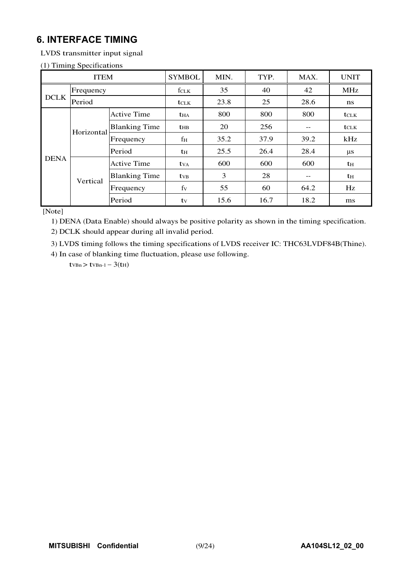## **6. INTERFACE TIMING**

LVDS transmitter input signal

#### (1) Timing Specifications

|             | <b>ITEM</b>        |                      | <b>SYMBOL</b> | MIN. | TYP. | MAX.             | <b>UNIT</b>      |
|-------------|--------------------|----------------------|---------------|------|------|------------------|------------------|
|             | Frequency          |                      | fclk          | 35   | 40   | 42               | MHz              |
| <b>DCLK</b> | Period             |                      | <b>t</b> CLK  | 23.8 | 25   | 28.6             | ns               |
|             | <b>Active Time</b> | $t_{HA}$             | 800           | 800  | 800  | $t_{\text{CLK}}$ |                  |
|             | Horizontal         | <b>Blanking Time</b> | $t_{HB}$      | 20   | 256  | $- -$            | $t_{\text{CLK}}$ |
|             |                    | Frequency            | $f_{\rm H}$   | 35.2 | 37.9 | 39.2             | kHz              |
|             |                    | Period               | $t_{\rm H}$   | 25.5 | 26.4 | 28.4             | $\mu$ s          |
| <b>DENA</b> |                    | <b>Active Time</b>   | $t_{VA}$      | 600  | 600  | 600              | $t_{\rm H}$      |
|             | Vertical           | <b>Blanking Time</b> | $t_{VB}$      | 3    | 28   | $- -$            | $t_{\rm H}$      |
|             |                    | Frequency            | $f_V$         | 55   | 60   | 64.2             | Hz               |
|             |                    | Period               | tv            | 15.6 | 16.7 | 18.2             | ms               |

[Note]

1) DENA (Data Enable) should always be positive polarity as shown in the timing specification.

2) DCLK should appear during all invalid period.

3) LVDS timing follows the timing specifications of LVDS receiver IC: THC63LVDF84B(Thine).

4) In case of blanking time fluctuation, please use following.

 $t_{VBn}$  >  $t_{VBn-1}$  - 3( $t_{H}$ )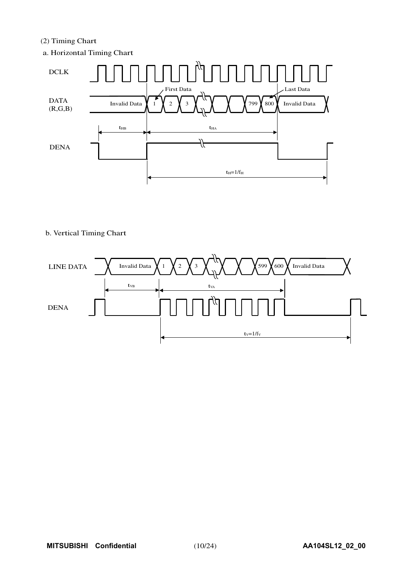#### (2) Timing Chart

a. Horizontal Timing Chart



#### b. Vertical Timing Chart

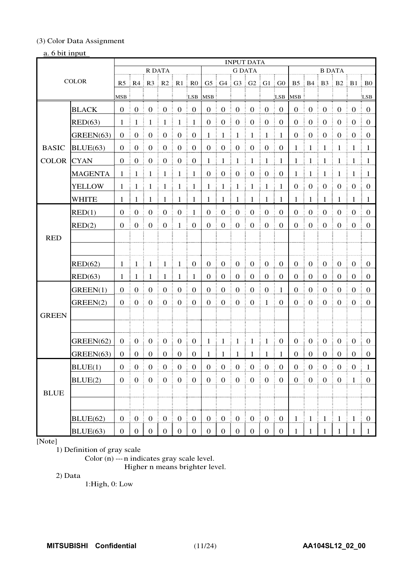#### (3) Color Data Assignment

#### a. 6 bit input

|              |                |                       |                                           |                  |                                         |                        |                       |                       |                                                        | <b>INPUT DATA</b> |                                                      |                                           |                                              |                   |                        |                                                                       |                  |                       |                   |
|--------------|----------------|-----------------------|-------------------------------------------|------------------|-----------------------------------------|------------------------|-----------------------|-----------------------|--------------------------------------------------------|-------------------|------------------------------------------------------|-------------------------------------------|----------------------------------------------|-------------------|------------------------|-----------------------------------------------------------------------|------------------|-----------------------|-------------------|
|              |                |                       |                                           | <b>R DATA</b>    |                                         |                        |                       |                       |                                                        | <b>G DATA</b>     |                                                      |                                           |                                              |                   |                        | <b>B DATA</b>                                                         |                  |                       |                   |
|              | <b>COLOR</b>   |                       |                                           |                  | $R5$   $R4$   $R3$   $R2$   $R1$   $R0$ |                        |                       |                       | $G5 \nvert G4 \nvert G3 \nvert G2 \nvert G1 \nvert G0$ |                   |                                                      |                                           |                                              |                   |                        | $B5 \parallel B4 \parallel B3 \parallel B2 \parallel B1 \parallel B0$ |                  |                       |                   |
|              |                | <b>MSB</b>            |                                           |                  |                                         |                        | LSB                   | <b>MSB</b>            |                                                        |                   |                                                      |                                           | LSB                                          | <b>MSB</b>        |                        |                                                                       |                  |                       | LSB               |
|              | <b>BLACK</b>   | $\theta$              | $\mathbf{0}$                              | $\overline{0}$   | $\boldsymbol{0}$                        | $\boldsymbol{0}$       | $\boldsymbol{0}$<br>Ē | $\boldsymbol{0}$      | $\mathbf{0}$                                           | $\boldsymbol{0}$  | $\boldsymbol{0}$                                     | $\boldsymbol{0}$                          | $\mathbf{0}$                                 | $\mathbf{0}$      | $\boldsymbol{0}$       | $\boldsymbol{0}$                                                      | $\mathbf{0}$     | $\boldsymbol{0}$      | $\mathbf{0}$      |
|              | RED(63)        | 1                     | 1                                         | 1                | $\mathbf{1}$                            | $\mathbf{1}$           | $\mathbf{1}$          | $\boldsymbol{0}$      | $\boldsymbol{0}$                                       | $\boldsymbol{0}$  | $\boldsymbol{0}$                                     | $\boldsymbol{0}$                          | $\boldsymbol{0}$                             | $\boldsymbol{0}$  | $\boldsymbol{0}$       | $\boldsymbol{0}$                                                      | $\boldsymbol{0}$ | $\boldsymbol{0}$      | $\boldsymbol{0}$  |
|              | GREEN(63)      | $\boldsymbol{0}$      | $\boldsymbol{0}$                          | $\boldsymbol{0}$ | $\boldsymbol{0}$                        | $\boldsymbol{0}$       | $\boldsymbol{0}$      | 1                     | -1                                                     | $\mathbf 1$       | 1                                                    | $\overline{1}$                            | $\mathbf{1}$                                 | $\mathbf{0}$      | $\boldsymbol{0}$       | $\boldsymbol{0}$                                                      | $\boldsymbol{0}$ | $\boldsymbol{0}$      | $\mathbf{0}$      |
| <b>BASIC</b> | BLUE(63)       | $\Omega$              | $\mathbf{0}$                              | $\boldsymbol{0}$ | $\boldsymbol{0}$                        | $\boldsymbol{0}$       | $\overline{0}$<br>Ξ   | $\overline{0}$<br>÷   | $\boldsymbol{0}$<br>÷                                  | $\boldsymbol{0}$  | $\boldsymbol{0}$<br>ŧ<br>Ē                           | $\boldsymbol{0}$                          | $\boldsymbol{0}$                             | $\mathbf{1}$      | Ĩ.<br>$\mathbf{1}$     | E<br>$\mathbf{1}$                                                     | $\mathbf{1}$     | $\mathbf{1}$          | ÷.<br>- 1         |
| <b>COLOR</b> | <b>CYAN</b>    | $\theta$              | $\mathbf{0}$                              | $\boldsymbol{0}$ | $\boldsymbol{0}$                        | $\boldsymbol{0}$       | $\overline{0}$<br>÷   | -1                    | $\mathbf{1}$<br>÷                                      | $\mathbf{1}$      | $\mathbf{1}$<br>÷<br>Ŧ.                              | $\mathbf{1}$                              | $\mathbf{1}$<br>÷                            | $\mathbf{1}$      | $\frac{1}{2}$ 1        | ŧ.<br>$\mathbf{1}$                                                    | $\mathbf{1}$     | 1 <sup>1</sup>        | $\overline{1}$    |
|              | <b>MAGENTA</b> | $\mathbf{1}$          | 1                                         | 1                | $\mathbf{1}$                            | $\mathbf{1}$           | $\mathbf{1}$          | $\boldsymbol{0}$      | $\boldsymbol{0}$                                       | $\boldsymbol{0}$  | $\boldsymbol{0}$                                     | $\boldsymbol{0}$                          | $\boldsymbol{0}$                             | $\mathbf{1}$<br>ŧ | $\mathbf{1}$           | 1                                                                     | $\mathbf{1}$     | $\mathbf{1}$          | $\mathbf{1}$      |
|              | <b>YELLOW</b>  | 1                     | -1                                        | -1               | -1                                      | 1                      | $\mathbf{1}$          | 1                     | $\mathbf{1}$                                           | $\mathbf{1}$      | $\mathbf{1}$<br>Ξ                                    | $\mathbf{1}$                              | 1                                            | $\mathbf{0}$      | $\boldsymbol{0}$       | $\boldsymbol{0}$                                                      | $\boldsymbol{0}$ | $\mathbf{0}$          | $\overline{0}$    |
|              | <b>WHITE</b>   | 1                     | -1                                        | 1                | $\mathbf{1}$                            | $\mathbf{1}$           | $\mathbf{1}$          | -1                    | 1                                                      | $\mathbf{1}$      | 1                                                    | $\mathbf{1}$                              | ŧ<br>1                                       | 1                 | 1                      | 1                                                                     | -1               | 1                     | -1                |
|              | RED(1)         | $\mathbf{0}$          | $\theta$                                  | $\boldsymbol{0}$ | $\boldsymbol{0}$                        | $\boldsymbol{0}$       | $\mathbf{1}$          | $\boldsymbol{0}$      | $\boldsymbol{0}$                                       | $\boldsymbol{0}$  | $\boldsymbol{0}$                                     | $\boldsymbol{0}$                          | $\mathbf{0}$                                 | $\boldsymbol{0}$  | $\mathbf{0}$           | $\boldsymbol{0}$                                                      | $\boldsymbol{0}$ | $\boldsymbol{0}$      | $\boldsymbol{0}$  |
|              | RED(2)         | $\mathbf{0}$          | $\boldsymbol{0}$                          | $\boldsymbol{0}$ | $\boldsymbol{0}$                        | $\mathbf{1}$           | $\boldsymbol{0}$      | $\theta$              | $\boldsymbol{0}$                                       | $\boldsymbol{0}$  | $\boldsymbol{0}$                                     | $\boldsymbol{0}$                          | $\boldsymbol{0}$                             | $\mathbf{0}$      | $\boldsymbol{0}$       | $\boldsymbol{0}$                                                      | $\boldsymbol{0}$ | $\mathbf{0}$          | $\boldsymbol{0}$  |
| <b>RED</b>   |                |                       |                                           |                  |                                         |                        |                       |                       |                                                        |                   |                                                      |                                           |                                              |                   |                        |                                                                       |                  |                       |                   |
|              |                |                       |                                           |                  |                                         |                        |                       |                       |                                                        |                   |                                                      |                                           |                                              |                   |                        |                                                                       |                  |                       |                   |
|              | RED(62)        | $\mathbf{1}$          | -1                                        | $\mathbf{1}$     | -1                                      | $\mathbf{1}$           | $\mathbf{0}$          | $\mathbf{0}$          | $\boldsymbol{0}$                                       | $\boldsymbol{0}$  | $\boldsymbol{0}$                                     | $\boldsymbol{0}$                          | $\boldsymbol{0}$                             | $\overline{0}$    | $\boldsymbol{0}$       | $\boldsymbol{0}$                                                      | $\boldsymbol{0}$ | $\boldsymbol{0}$      | $\overline{0}$    |
|              | RED(63)        | 1                     | -1                                        | 1                | 1                                       | -1                     | 1                     | $\overline{0}$        | $\boldsymbol{0}$                                       | $\boldsymbol{0}$  | $\boldsymbol{0}$<br>E                                | $\boldsymbol{0}$                          | $\boldsymbol{0}$                             | $\boldsymbol{0}$  | $\boldsymbol{0}$       | $\boldsymbol{0}$                                                      | $\boldsymbol{0}$ | $\theta$              | $\boldsymbol{0}$  |
|              | GREEN(1)       | $\theta$              | $\theta$                                  | $\boldsymbol{0}$ | $\boldsymbol{0}$                        | $\mathbf{0}$           | $\boldsymbol{0}$      | $\theta$              | $\overline{0}$                                         | $\boldsymbol{0}$  | $\boldsymbol{0}$                                     | $\overline{0}$                            | -1                                           | $\theta$          | $\boldsymbol{0}$       | $\boldsymbol{0}$                                                      | $\boldsymbol{0}$ | $\boldsymbol{0}$      | $\boldsymbol{0}$  |
|              | GREEN(2)       | $\theta$              | $\overline{0}$                            | $\boldsymbol{0}$ | $\boldsymbol{0}$                        | $\boldsymbol{0}$<br>Ē. | $\boldsymbol{0}$<br>Ξ | $\overline{0}$<br>÷   | $\boldsymbol{0}$                                       | $\boldsymbol{0}$  | $\overline{0}$<br>Ŧ.<br>Ē                            | $\mathbf{1}$                              | $\mathbf{0}$                                 | $\mathbf{0}$<br>Ë | $\boldsymbol{0}$       | $\boldsymbol{0}$<br>Ē                                                 | $\mathbf{0}$     | $\mathbf{0}$          | $\mathbf{0}$<br>÷ |
| <b>GREEN</b> |                |                       |                                           |                  |                                         |                        |                       |                       |                                                        |                   |                                                      |                                           |                                              |                   |                        |                                                                       |                  |                       |                   |
|              |                |                       |                                           |                  |                                         |                        |                       |                       |                                                        |                   |                                                      |                                           |                                              |                   |                        |                                                                       |                  |                       |                   |
|              | GREEN(62)      | $\boldsymbol{0}$      | $\boldsymbol{0}$                          | $\boldsymbol{0}$ | $\boldsymbol{0}$                        | $\boldsymbol{0}$<br>÷  | $\boldsymbol{0}$<br>÷ | 1                     | $\mathbf{1}$                                           | $\mathbf{1}$      | $\mathbf{1}$<br>÷                                    | $\mathbf{1}$                              | $\boldsymbol{0}$                             | $\boldsymbol{0}$  | $\boldsymbol{0}$<br>ŧ. | $\boldsymbol{0}$                                                      | $\boldsymbol{0}$ | $\boldsymbol{0}$      | $\boldsymbol{0}$  |
|              | GREEN(63)      | $\boldsymbol{0}$<br>÷ | $\boldsymbol{0}$<br>÷                     | $\mathbf{0}$     | $\boldsymbol{0}$                        | $\boldsymbol{0}$<br>ŧ. | $\boldsymbol{0}$      | 1                     | -1                                                     | -1                | 1<br>÷                                               | $\mathbf{1}$                              | -1                                           | $\boldsymbol{0}$  | $\boldsymbol{0}$       | $\boldsymbol{0}$                                                      | $\boldsymbol{0}$ | $\boldsymbol{0}$<br>÷ | $\boldsymbol{0}$  |
|              | BLUE(1)        | $\boldsymbol{0}$      | $\boldsymbol{0}$                          | $\boldsymbol{0}$ | $\boldsymbol{0}$                        | $\boldsymbol{0}$       | $\mathbf{0}$          | $\boldsymbol{0}$      | $\boldsymbol{0}$                                       | $\boldsymbol{0}$  | $\boldsymbol{0}$                                     | $\boldsymbol{0}$                          | $\boldsymbol{0}$                             | $\boldsymbol{0}$  | $\boldsymbol{0}$       | $\boldsymbol{0}$                                                      | $\boldsymbol{0}$ | $\boldsymbol{0}$      | $\mathbf{1}$      |
|              | BLUE(2)        | $\mathbf{0}$          | $\boldsymbol{0}$                          | $\mathbf{0}$     | $\mathbf{0}$                            | $\mathbf{0}$<br>Ë.     | $\mathbf{0}$          | $\boldsymbol{0}$<br>÷ | $\boldsymbol{0}$                                       | $\boldsymbol{0}$  | $\boldsymbol{0}$                                     | $\boldsymbol{0}$<br>ŧ                     | $\boldsymbol{0}$                             | $\mathbf{0}$      | $\boldsymbol{0}$<br>ŧ. | $\boldsymbol{0}$<br>Ë.<br>ŧ                                           | $\mathbf{0}$     | $\mathbf{1}$          | $\mathbf{0}$      |
| <b>BLUE</b>  |                |                       |                                           |                  |                                         |                        |                       |                       |                                                        |                   |                                                      |                                           |                                              |                   |                        |                                                                       |                  |                       |                   |
|              |                |                       |                                           |                  |                                         |                        |                       |                       |                                                        |                   |                                                      |                                           |                                              |                   |                        |                                                                       |                  |                       |                   |
|              | BLUE(62)       | $\mathbf{0}$          | $\begin{array}{c c} 0 & 0 \\ \end{array}$ |                  | $\begin{matrix} 0 \end{matrix}$         | $\mathbf{0}$           | $\frac{1}{2}$ 0       | $\mathbf{0}$          | $0 \nvert 0$                                           |                   | $\left  \begin{array}{c} 0 \\ 0 \end{array} \right $ | $\begin{bmatrix} 0 \\ 0 \end{bmatrix}$    | $\begin{matrix} 1 & 0 \\ 0 & 0 \end{matrix}$ | $1 \nmid 1$       |                        | $\mathbf{1}$<br>÷                                                     | $\mathbf{1}$     | $\parallel$ 1         | $\overline{0}$    |
|              | BLUE(63)       |                       |                                           |                  | 0   0   0   0   0                       | ÷                      | $\overline{0}$        |                       | $0 \mid 0 \mid 0 \mid 0$                               |                   |                                                      | $\begin{array}{c c} 0 & 0 \\ \end{array}$ |                                              |                   | $1 \mid 1 \mid 1$      |                                                                       | $\mathbf{1}$     | $\overline{1}$        | -1                |

#### [Note]

1) Definition of gray scale

Color (n) --- n indicates gray scale level.

Higher n means brighter level.

2) Data

1:High, 0: Low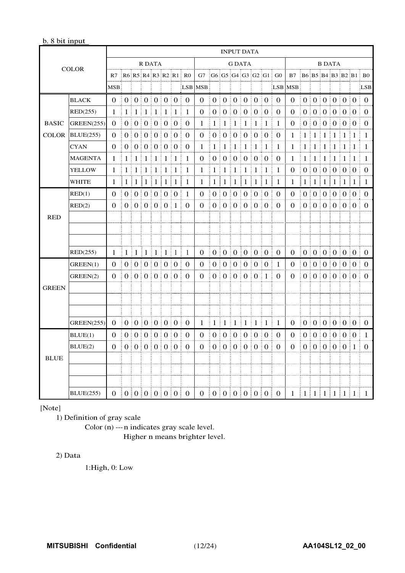#### b. 8 bit input

|              |                   | <b>INPUT DATA</b>         |              |              |                     |                |    |            |                                 |                |                                                    |                |                 |                   |                   |             |                                                                     |               |                                                      |                       |         |                                 |    |         |                         |
|--------------|-------------------|---------------------------|--------------|--------------|---------------------|----------------|----|------------|---------------------------------|----------------|----------------------------------------------------|----------------|-----------------|-------------------|-------------------|-------------|---------------------------------------------------------------------|---------------|------------------------------------------------------|-----------------------|---------|---------------------------------|----|---------|-------------------------|
|              | <b>COLOR</b>      |                           |              |              | R DATA              |                |    |            |                                 | <b>G DATA</b>  |                                                    |                |                 |                   |                   |             |                                                                     | <b>B DATA</b> |                                                      |                       |         |                                 |    |         |                         |
|              |                   | R7                        |              |              |                     |                |    |            | R6 R5 R4 R3 R2 R1 R0            |                |                                                    |                |                 |                   |                   |             | $G7 \nmid G6 \nmid G5 \nmid G4 \nmid G3 \nmid G2 \nmid G1 \nmid G0$ |               |                                                      |                       |         |                                 |    |         | B7 B6 B5 B4 B3 B2 B1 B0 |
|              |                   | <b>MSB</b>                |              |              |                     |                |    |            |                                 | LSB MSB        |                                                    |                |                 |                   |                   |             | LSB <sup>1</sup>                                                    | <b>MSB</b>    |                                                      |                       |         |                                 |    |         | LSB                     |
|              | <b>BLACK</b>      | $\Omega$                  |              |              | 0:0:0:0:0:0         |                |    |            | $\begin{matrix} 0 \end{matrix}$ | $\Omega$       |                                                    |                |                 |                   | 0:0:0:0:0:0       |             | $\Omega$                                                            | $\Omega$      |                                                      |                       |         |                                 |    |         | 0:0:0:0:0:0:0           |
|              | RED(255)          | 1                         | 1            | $\pm 1$      | $\pm 1$             | $\pm 1$        | 1  | $\pm 1$    | 1                               | 0              | 0 <sub>1</sub>                                     | $\theta$       | $\theta$        | 0 <sup>1</sup>    |                   | 0:0         | 0                                                                   | 0             | $\theta$                                             |                       |         | 0000000                         |    |         | $\Omega$                |
| <b>BASIC</b> | <b>GREEN(255)</b> | $\Omega$                  |              |              | 0:0:0:0:0:0:0:      |                |    |            | $\theta$                        | 1              | 1 <sup>1</sup>                                     | $\mathbf{1}$   | 1<br>÷          | 1<br>÷            | ÷                 | $1 \pm 1$   | -1                                                                  | $\theta$      |                                                      |                       |         | 0:0:0:0:0:0                     |    |         | $\Omega$<br>÷           |
| <b>COLOR</b> | BLUE(255)         | $\Omega$                  |              |              | 0   0   0   0   0 0 |                |    |            | $\Omega$                        | $\theta$       |                                                    |                |                 |                   | 0:0:0:0:0:0       |             | $\theta$                                                            | 1             | $\lceil 1 \rceil$ 1 $\lceil 1 \rceil$                |                       |         | $\pm 1 \pm 1$                   |    | $\pm 1$ | 1                       |
|              | <b>CYAN</b>       | $\Omega$                  |              |              | 0:0:0:0:0:0         |                |    |            | $\Omega$                        | 1              | 1                                                  | 1              | 1               | 1                 | 1                 | $\pm 1$     | 1                                                                   | 1             | 1                                                    | 1<br>÷                | $\pm 1$ | 1:<br>÷                         | -1 | 1       | 1                       |
|              | <b>MAGENTA</b>    | 1                         | $\mathbf{1}$ | $\pm 1$      | $\pm 1$             | $\pm 1 \pm 1$  |    | $\pm 1$    | 1                               | $\Omega$       | $0$ :                                              | $\Omega$       | $\frac{1}{2}$ 0 | ÷                 | 0:0:0             |             | 0                                                                   | 1             | 1                                                    | $\frac{1}{2}$ 1       | $\pm 1$ | $\lfloor 1 \rfloor 1$           |    | $\pm 1$ | 1                       |
|              | <b>YELLOW</b>     | 1                         | 1            | $\mathbf{1}$ | $\pm 1$<br>÷        | 1 <sup>3</sup> | -1 | $\pm 1$    | 1                               | 1              | 1                                                  | 1              | 1               | 1                 | 1                 | $\pm 1$     | 1                                                                   | 0             |                                                      |                       |         | $0 \mid 0 \mid 0 \mid 0 \mid 0$ |    |         | $\Omega$                |
|              | WHITE             | 1                         | 1<br>÷       |              | 1 1 1 1             |                |    | $1 \mid 1$ | 1                               | 1              | $\mathbf{1}$                                       | ÷<br>1         | 1<br>÷          | $\mathbf{1}$<br>÷ | ÷                 | $1 \nmid 1$ | 1                                                                   | 1             | 1                                                    | $\lfloor 1 \rfloor 1$ |         | $1 \mid 1$<br>ŧ                 |    | $\pm 1$ | 1                       |
|              | RED(1)            | 0                         |              |              | 0:0:0:0:0:0         |                |    |            | 1                               | $\Omega$       |                                                    |                |                 |                   | 0:0:0:0:0:0       |             | $\Omega$                                                            | 0             |                                                      |                       |         | 0   0   0   0   0   0           |    |         | ŧ.<br>$\Omega$          |
|              | RED(2)            | 0                         |              |              | 0:0:0:0:0:1         |                |    |            | $\Omega$                        | $\Omega$       |                                                    |                |                 |                   | 0:0:0:0:0:0       |             | $\Omega$                                                            | 0             |                                                      |                       |         | 0:0:0:0:0:0                     |    |         | $\Omega$<br>ŧ.          |
| <b>RED</b>   |                   |                           |              |              |                     |                |    |            |                                 |                |                                                    |                |                 |                   |                   |             |                                                                     |               |                                                      |                       |         |                                 |    |         |                         |
|              |                   |                           |              |              |                     |                |    |            |                                 |                |                                                    |                |                 |                   |                   |             |                                                                     |               |                                                      |                       |         |                                 |    |         |                         |
|              |                   |                           |              |              |                     |                |    |            |                                 |                |                                                    |                |                 |                   |                   |             |                                                                     |               |                                                      |                       |         |                                 |    |         |                         |
|              | RED(255)          | $\mathbf{1}$              |              |              |                     |                |    |            | -1                              | $\overline{0}$ | ÷                                                  |                |                 |                   | 0 0 0 0 0 0 0 0   |             | $\overline{0}$                                                      | $\theta$      |                                                      |                       |         |                                 |    |         |                         |
|              | GREEN(1)          | $\Omega$                  |              |              | 0   0   0   0   0   |                |    |            | ÷<br>$\Omega$                   | $\Omega$       |                                                    | 0 <sup>1</sup> | $\frac{1}{2}$ 0 | ÷                 | 0:0:0             |             | 1                                                                   | $\Omega$      |                                                      |                       |         | 0   0   0   0   0               |    |         | $\Omega$                |
|              | GREEN(2)          | $\Omega$                  |              |              | 0:0:0:0:0:0         |                |    |            | $\Omega$<br>÷                   | $\Omega$       |                                                    |                |                 |                   | 0:0:0:0:0:1       |             | $\Omega$                                                            | $\Omega$      |                                                      |                       |         | 0   0   0   0   0               |    |         | $\Omega$                |
| <b>GREEN</b> |                   |                           |              |              |                     |                |    |            |                                 |                |                                                    |                |                 |                   |                   |             |                                                                     |               |                                                      |                       |         |                                 |    |         |                         |
|              |                   |                           |              |              |                     |                |    |            |                                 |                |                                                    |                |                 |                   |                   |             |                                                                     |               |                                                      |                       |         |                                 |    |         |                         |
|              |                   |                           |              |              |                     |                |    |            |                                 |                |                                                    |                |                 |                   |                   |             |                                                                     |               |                                                      |                       |         |                                 |    |         |                         |
|              | <b>GREEN(255)</b> | $\Omega$                  |              |              | 0 0 0 0 0 0 0 0     |                |    |            | $\Omega$                        |                | $1 \mid 1 \mid 1 \mid 1 \mid 1 \mid 1 \mid 1 \mid$ |                |                 |                   |                   |             | -1                                                                  |               | $0 \t0 \t0 \t0 \t0 \t0 \t0 \t0$                      |                       |         |                                 |    |         |                         |
|              | BLUE(1)           | 0                         |              |              | 0   0   0   0   0   |                |    |            | $\theta$                        | 0              |                                                    | 0:0:0          |                 | ÷                 | 0:0:0             |             | $\theta$                                                            | 0             |                                                      |                       |         | 0   0   0   0   0               |    |         | $\mathbf{1}$            |
|              | BLUE(2)           | $\theta$                  |              |              | 0:0:0:0:0:0         |                |    |            | $\Omega$                        | $\theta$       |                                                    |                |                 |                   | 0   0   0   0   0 |             | $\overline{0}$                                                      | $\Omega$      |                                                      |                       |         | 0   0   0   0   0 1             |    |         | $\Omega$                |
| <b>BLUE</b>  |                   |                           |              |              |                     |                |    |            |                                 |                |                                                    |                |                 |                   |                   |             |                                                                     |               |                                                      |                       |         |                                 |    |         |                         |
|              |                   |                           |              |              |                     |                |    |            |                                 |                |                                                    |                |                 |                   |                   |             |                                                                     |               |                                                      |                       |         |                                 |    |         |                         |
|              |                   |                           |              |              |                     |                |    |            |                                 |                |                                                    |                |                 |                   |                   |             |                                                                     |               |                                                      |                       |         |                                 |    |         |                         |
|              | <b>BLUE(255)</b>  | 0   0   0   0   0   0   0 |              |              |                     |                |    |            |                                 |                | 0   0   0   0   0   0   0                          |                |                 |                   |                   |             |                                                                     |               | $1 \mid 1 \mid 1 \mid 1 \mid 1 \mid 1 \mid 1 \mid 1$ |                       |         |                                 |    |         |                         |

[Note]

1) Definition of gray scale

Color (n) --- n indicates gray scale level. Higher n means brighter level.

#### 2) Data

1:High, 0: Low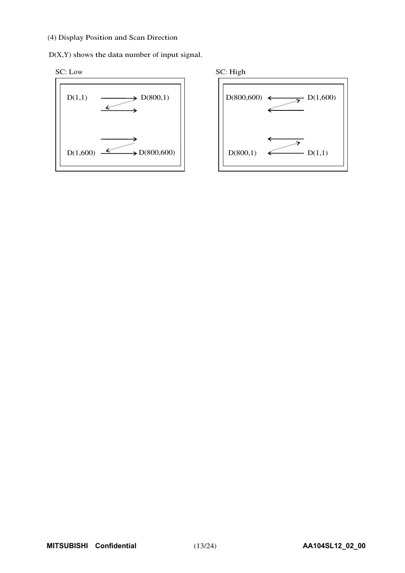#### (4) Display Position and Scan Direction

D(X,Y) shows the data number of input signal.





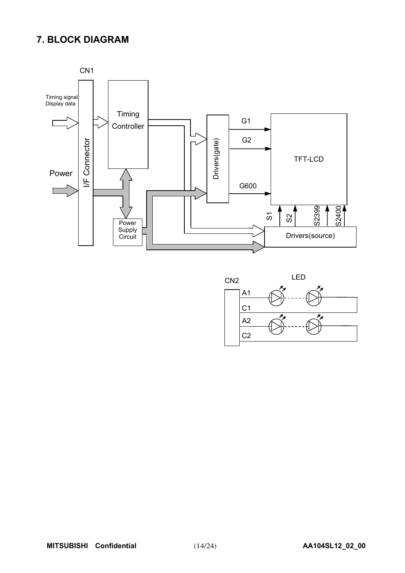## **7. BLOCK DIAGRAM**



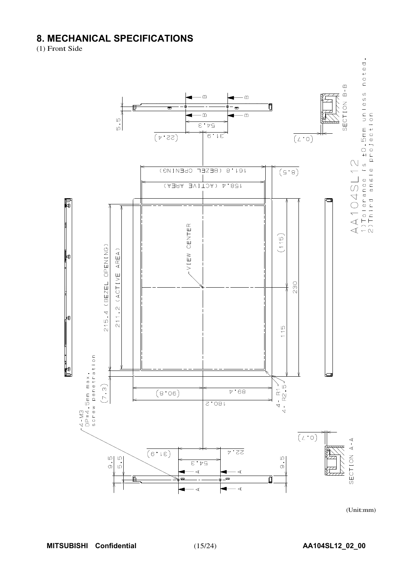## **8. MECHANICAL SPECIFICATIONS**

(1) Front Side



(Unit:mm)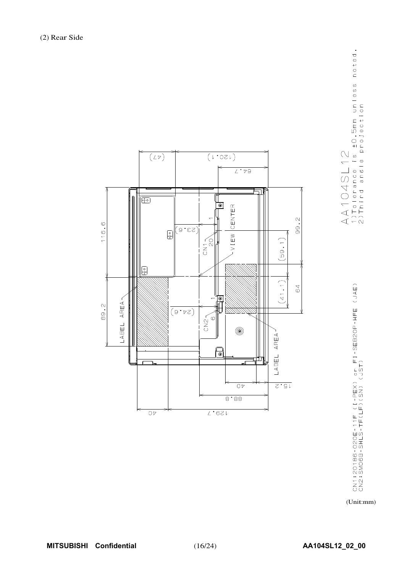





(Unit:mm)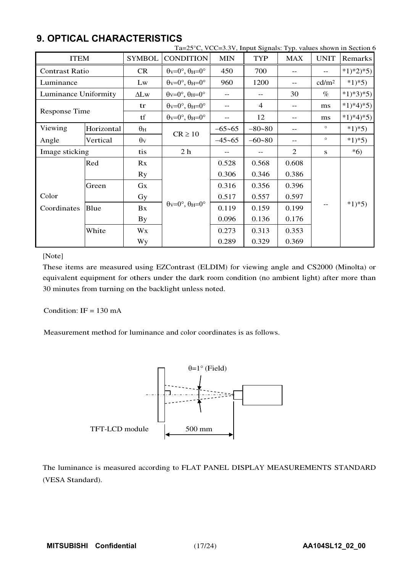|                       |            |                  | Ta=25°C, VCC=3.3V, Input Signals: Typ. values shown in Section 6      |            |                   |            |                   |                |
|-----------------------|------------|------------------|-----------------------------------------------------------------------|------------|-------------------|------------|-------------------|----------------|
| <b>ITEM</b>           |            | <b>SYMBOL</b>    | <b>CONDITION</b>                                                      | <b>MIN</b> | <b>TYP</b>        | <b>MAX</b> | <b>UNIT</b>       | <b>Remarks</b> |
| <b>Contrast Ratio</b> |            | <b>CR</b>        | $\theta$ v=0°, $\theta$ H=0°                                          | 450        | 700               | $-$        |                   | $*1)*2*5$      |
| Luminance             |            | Lw               | $\theta$ v=0°, $\theta$ H=0°                                          | 960        | 1200              | $-$        | cd/m <sup>2</sup> | $*1)*5)$       |
| Luminance Uniformity  |            | $\Delta L$ w     | $\theta$ <sub>V</sub> = $0^\circ$ , $\theta$ <sub>H</sub> = $0^\circ$ | $- -$      | $\qquad \qquad -$ | 30         | $\%$              | $*1)*3*5)$     |
| <b>Response Time</b>  |            | tr               | $\theta$ <sub>V</sub> = $0^\circ$ , $\theta$ <sub>H</sub> = $0^\circ$ | --         | $\overline{4}$    | $-$        | ms                | $*1)*4*5)$     |
|                       |            | tf               | $\theta$ v=0°, $\theta$ H=0°                                          | $- -$      | 12                | $-$        | ms                | $*1)*4*5$      |
| Viewing               | Horizontal | $\theta_{\rm H}$ |                                                                       | $-65 - 65$ | $-80 - 80$        | $-$        | $\circ$           | $*1)*5)$       |
| Angle                 | Vertical   | $\theta$ v       | $CR \ge 10$                                                           | $-45 - 65$ | $-60 - 80$        | $-$        | $\circ$           | $*1*5)$        |
| Image sticking        |            | tis              | 2 <sub>h</sub>                                                        | $-$        |                   | 2          | S                 | $*6)$          |
|                       | Red        | Rx               |                                                                       | 0.528      | 0.568             | 0.608      |                   |                |
|                       |            | <b>Ry</b>        |                                                                       | 0.306      | 0.346             | 0.386      |                   |                |
|                       | Green      | $G_{X}$          |                                                                       | 0.316      | 0.356             | 0.396      |                   |                |
| Color                 |            | Gy               | $\theta$ v=0°, $\theta$ H=0°                                          | 0.517      | 0.557             | 0.597      |                   | $*1*5)$        |
| Coordinates           | Blue       | Bx               |                                                                       | 0.119      | 0.159             | 0.199      |                   |                |
|                       |            | By               |                                                                       | 0.096      | 0.136             | 0.176      |                   |                |
|                       | White      | Wx               |                                                                       | 0.273      | 0.313             | 0.353      |                   |                |
|                       |            | Wy               |                                                                       | 0.289      | 0.329             | 0.369      |                   |                |

## **9. OPTICAL CHARACTERISTICS**

#### [Note]

These items are measured using EZContrast (ELDIM) for viewing angle and CS2000 (Minolta) or equivalent equipment for others under the dark room condition (no ambient light) after more than 30 minutes from turning on the backlight unless noted.

Condition:  $IF = 130 \text{ mA}$ 

Measurement method for luminance and color coordinates is as follows.



The luminance is measured according to FLAT PANEL DISPLAY MEASUREMENTS STANDARD (VESA Standard).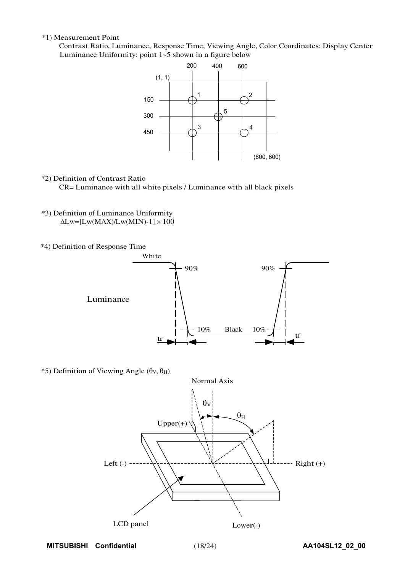#### \*1) Measurement Point

Contrast Ratio, Luminance, Response Time, Viewing Angle, Color Coordinates: Display Center Luminance Uniformity: point  $1-5$  shown in a figure below



\*2) Definition of Contrast Ratio

CR= Luminance with all white pixels / Luminance with all black pixels

- \*3) Definition of Luminance Uniformity  $\Delta$ Lw=[Lw(MAX)/Lw(MIN)-1]  $\times$  100
- \*4) Definition of Response Time



\*5) Definition of Viewing Angle  $(\theta_V, \theta_H)$ 

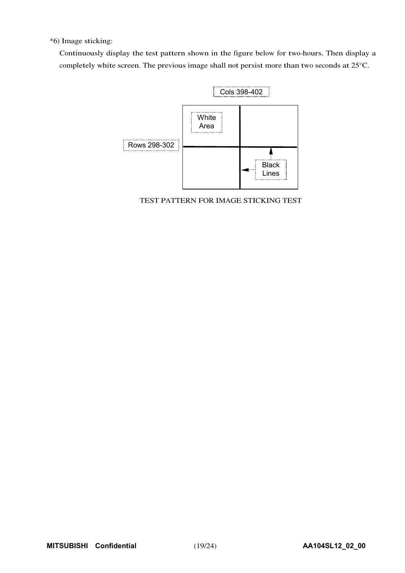\*6) Image sticking:

Continuously display the test pattern shown in the figure below for two-hours. Then display a completely white screen. The previous image shall not persist more than two seconds at 25°C.



TEST PATTERN FOR IMAGE STICKING TEST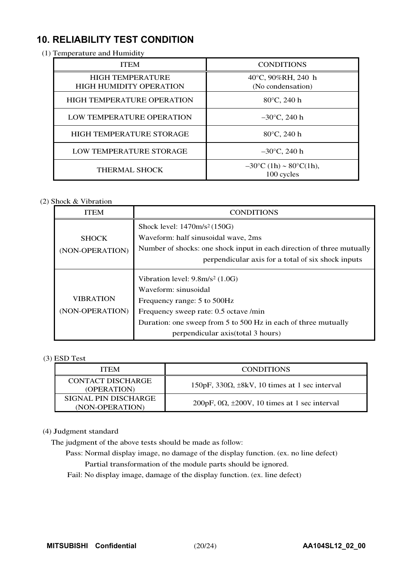## **10. RELIABILITY TEST CONDITION**

| $\mu$ remperature and frumuly                             |  |                                                           |  |  |
|-----------------------------------------------------------|--|-----------------------------------------------------------|--|--|
| <b>ITEM</b>                                               |  | <b>CONDITIONS</b>                                         |  |  |
| <b>HIGH TEMPERATURE</b><br><b>HIGH HUMIDITY OPERATION</b> |  | 40 $\degree$ C, 90%RH, 240 h<br>(No condensation)         |  |  |
| HIGH TEMPERATURE OPERATION                                |  | 80°C, 240 h                                               |  |  |
| LOW TEMPERATURE OPERATION                                 |  | $-30^{\circ}$ C, 240 h                                    |  |  |
| <b>HIGH TEMPERATURE STORAGE</b>                           |  | 80°C, 240 h                                               |  |  |
| LOW TEMPERATURE STORAGE                                   |  | $-30^{\circ}$ C, 240 h                                    |  |  |
| <b>THERMAL SHOCK</b>                                      |  | $-30^{\circ}$ C (1h) ~ 80 $^{\circ}$ C(1h),<br>100 cycles |  |  |

(1) Temperature and Humidity

#### (2) Shock & Vibration

| <b>ITEM</b>                         | <b>CONDITIONS</b>                                                                                                                                                                                    |
|-------------------------------------|------------------------------------------------------------------------------------------------------------------------------------------------------------------------------------------------------|
| <b>SHOCK</b>                        | Shock level: 1470m/s <sup>2</sup> (150G)<br>Waveform: half sinusoidal wave, 2ms                                                                                                                      |
| (NON-OPERATION)                     | Number of shocks: one shock input in each direction of three mutually<br>perpendicular axis for a total of six shock inputs                                                                          |
| <b>VIBRATION</b><br>(NON-OPERATION) | Vibration level: $9.8m/s^2$ (1.0G)<br>Waveform: sinusoidal<br>Frequency range: 5 to 500Hz<br>Frequency sweep rate: 0.5 octave /min<br>Duration: one sweep from 5 to 500 Hz in each of three mutually |
|                                     | perpendicular axis (total 3 hours)                                                                                                                                                                   |

#### (3) ESD Test

| <b>ITEM</b>                             | <b>CONDITIONS</b>                                              |  |  |
|-----------------------------------------|----------------------------------------------------------------|--|--|
| CONTACT DISCHARGE<br>(OPERATION)        | $150pF$ , $330\Omega$ , $\pm 8kV$ , 10 times at 1 sec interval |  |  |
| SIGNAL PIN DISCHARGE<br>(NON-OPERATION) | 200pF, 0 $\Omega$ , $\pm$ 200V, 10 times at 1 sec interval     |  |  |

#### (4) Judgment standard

The judgment of the above tests should be made as follow:

Pass: Normal display image, no damage of the display function. (ex. no line defect) Partial transformation of the module parts should be ignored.

Fail: No display image, damage of the display function. (ex. line defect)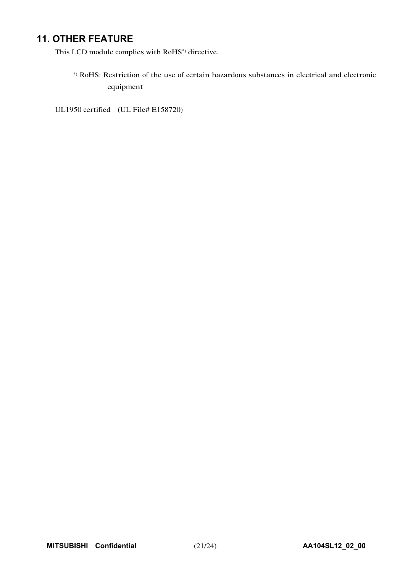## **11. OTHER FEATURE**

This LCD module complies with RoHS\*) directive.

\*) RoHS: Restriction of the use of certain hazardous substances in electrical and electronic equipment

UL1950 certified (UL File# E158720)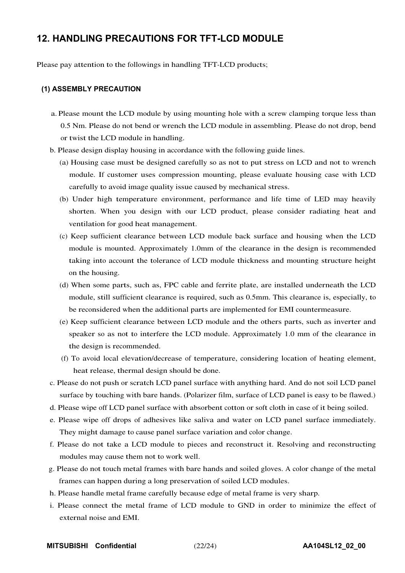## **12. HANDLING PRECAUTIONS FOR TFT-LCD MODULE**

Please pay attention to the followings in handling TFT-LCD products;

#### **(1) ASSEMBLY PRECAUTION**

- a. Please mount the LCD module by using mounting hole with a screw clamping torque less than 0.5 Nm. Please do not bend or wrench the LCD module in assembling. Please do not drop, bend or twist the LCD module in handling.
- b. Please design display housing in accordance with the following guide lines.
	- (a) Housing case must be designed carefully so as not to put stress on LCD and not to wrench module. If customer uses compression mounting, please evaluate housing case with LCD carefully to avoid image quality issue caused by mechanical stress.
	- (b) Under high temperature environment, performance and life time of LED may heavily shorten. When you design with our LCD product, please consider radiating heat and ventilation for good heat management.
	- (c) Keep sufficient clearance between LCD module back surface and housing when the LCD module is mounted. Approximately 1.0mm of the clearance in the design is recommended taking into account the tolerance of LCD module thickness and mounting structure height on the housing.
	- (d) When some parts, such as, FPC cable and ferrite plate, are installed underneath the LCD module, still sufficient clearance is required, such as 0.5mm. This clearance is, especially, to be reconsidered when the additional parts are implemented for EMI countermeasure.
	- (e) Keep sufficient clearance between LCD module and the others parts, such as inverter and speaker so as not to interfere the LCD module. Approximately 1.0 mm of the clearance in the design is recommended.
	- (f) To avoid local elevation/decrease of temperature, considering location of heating element, heat release, thermal design should be done.
- c. Please do not push or scratch LCD panel surface with anything hard. And do not soil LCD panel surface by touching with bare hands. (Polarizer film, surface of LCD panel is easy to be flawed.)
- d. Please wipe off LCD panel surface with absorbent cotton or soft cloth in case of it being soiled.
- e. Please wipe off drops of adhesives like saliva and water on LCD panel surface immediately. They might damage to cause panel surface variation and color change.
- f. Please do not take a LCD module to pieces and reconstruct it. Resolving and reconstructing modules may cause them not to work well.
- g. Please do not touch metal frames with bare hands and soiled gloves. A color change of the metal frames can happen during a long preservation of soiled LCD modules.
- h. Please handle metal frame carefully because edge of metal frame is very sharp.
- i. Please connect the metal frame of LCD module to GND in order to minimize the effect of external noise and EMI.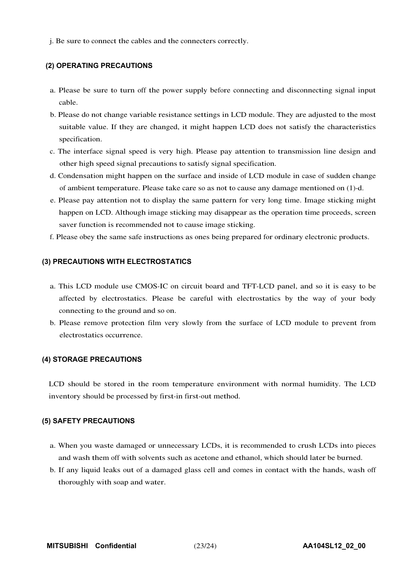j. Be sure to connect the cables and the connecters correctly.

#### **(2) OPERATING PRECAUTIONS**

- a. Please be sure to turn off the power supply before connecting and disconnecting signal input cable.
- b. Please do not change variable resistance settings in LCD module. They are adjusted to the most suitable value. If they are changed, it might happen LCD does not satisfy the characteristics specification.
- c. The interface signal speed is very high. Please pay attention to transmission line design and other high speed signal precautions to satisfy signal specification.
- d. Condensation might happen on the surface and inside of LCD module in case of sudden change of ambient temperature. Please take care so as not to cause any damage mentioned on (1)-d.
- e. Please pay attention not to display the same pattern for very long time. Image sticking might happen on LCD. Although image sticking may disappear as the operation time proceeds, screen saver function is recommended not to cause image sticking.
- f. Please obey the same safe instructions as ones being prepared for ordinary electronic products.

#### **(3) PRECAUTIONS WITH ELECTROSTATICS**

- a. This LCD module use CMOS-IC on circuit board and TFT-LCD panel, and so it is easy to be affected by electrostatics. Please be careful with electrostatics by the way of your body connecting to the ground and so on.
- b. Please remove protection film very slowly from the surface of LCD module to prevent from electrostatics occurrence.

#### **(4) STORAGE PRECAUTIONS**

LCD should be stored in the room temperature environment with normal humidity. The LCD inventory should be processed by first-in first-out method.

#### **(5) SAFETY PRECAUTIONS**

- a. When you waste damaged or unnecessary LCDs, it is recommended to crush LCDs into pieces and wash them off with solvents such as acetone and ethanol, which should later be burned.
- b. If any liquid leaks out of a damaged glass cell and comes in contact with the hands, wash off thoroughly with soap and water.